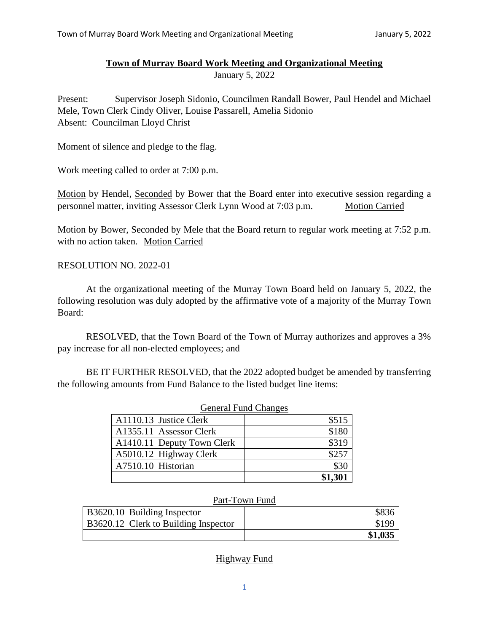## **Town of Murray Board Work Meeting and Organizational Meeting**

January 5, 2022

Present: Supervisor Joseph Sidonio, Councilmen Randall Bower, Paul Hendel and Michael Mele, Town Clerk Cindy Oliver, Louise Passarell, Amelia Sidonio Absent: Councilman Lloyd Christ

Moment of silence and pledge to the flag.

Work meeting called to order at 7:00 p.m.

Motion by Hendel, Seconded by Bower that the Board enter into executive session regarding a personnel matter, inviting Assessor Clerk Lynn Wood at 7:03 p.m. Motion Carried

Motion by Bower, Seconded by Mele that the Board return to regular work meeting at 7:52 p.m. with no action taken. Motion Carried

RESOLUTION NO. 2022-01

At the organizational meeting of the Murray Town Board held on January 5, 2022, the following resolution was duly adopted by the affirmative vote of a majority of the Murray Town Board:

RESOLVED, that the Town Board of the Town of Murray authorizes and approves a 3% pay increase for all non-elected employees; and

BE IT FURTHER RESOLVED, that the 2022 adopted budget be amended by transferring the following amounts from Fund Balance to the listed budget line items:

| <b>General Fund Changes</b> |         |  |
|-----------------------------|---------|--|
| A1110.13 Justice Clerk      | \$515   |  |
| A1355.11 Assessor Clerk     | \$180   |  |
| A1410.11 Deputy Town Clerk  | \$319   |  |
| A5010.12 Highway Clerk      | \$257   |  |
| A7510.10 Historian          | \$30    |  |
|                             | \$1,301 |  |

## Part-Town Fund

| B3620.10 Building Inspector          | \$836   |
|--------------------------------------|---------|
| B3620.12 Clerk to Building Inspector | \$199   |
|                                      | \$1,035 |

**Highway Fund**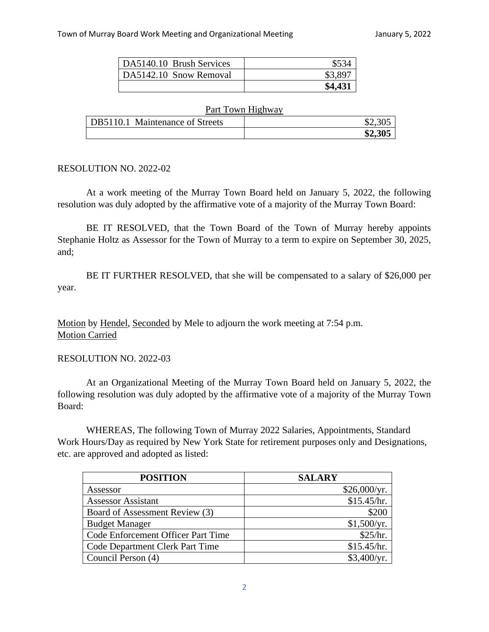| DA5140.10 Brush Services |         |
|--------------------------|---------|
| DA5142.10 Snow Removal   | \$3,897 |
|                          | \$4,431 |

| Part Town Highway               |         |  |
|---------------------------------|---------|--|
| DB5110.1 Maintenance of Streets | \$2,305 |  |
|                                 | \$2,305 |  |

## RESOLUTION NO. 2022-02

At a work meeting of the Murray Town Board held on January 5, 2022, the following resolution was duly adopted by the affirmative vote of a majority of the Murray Town Board:

BE IT RESOLVED, that the Town Board of the Town of Murray hereby appoints Stephanie Holtz as Assessor for the Town of Murray to a term to expire on September 30, 2025, and;

BE IT FURTHER RESOLVED, that she will be compensated to a salary of \$26,000 per year.

Motion by Hendel, Seconded by Mele to adjourn the work meeting at 7:54 p.m. Motion Carried

## RESOLUTION NO. 2022-03

At an Organizational Meeting of the Murray Town Board held on January 5, 2022, the following resolution was duly adopted by the affirmative vote of a majority of the Murray Town Board:

WHEREAS, The following Town of Murray 2022 Salaries, Appointments, Standard Work Hours/Day as required by New York State for retirement purposes only and Designations, etc. are approved and adopted as listed:

| <b>POSITION</b>                    | <b>SALARY</b> |
|------------------------------------|---------------|
| Assessor                           | \$26,000/yr.  |
| <b>Assessor Assistant</b>          | \$15.45/hr.   |
| Board of Assessment Review (3)     | \$200         |
| <b>Budget Manager</b>              | \$1,500/yr.   |
| Code Enforcement Officer Part Time | \$25/hr.      |
| Code Department Clerk Part Time    | \$15.45/hr.   |
| Council Person (4)                 | \$3,400/yr.   |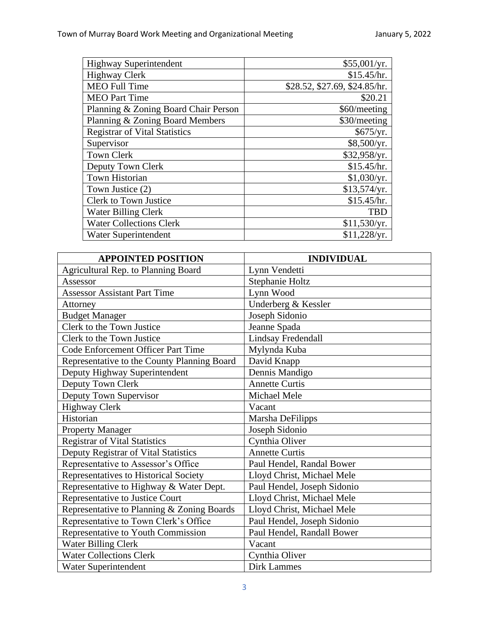| <b>Highway Superintendent</b>        | \$55,001/yr.                  |
|--------------------------------------|-------------------------------|
| <b>Highway Clerk</b>                 | \$15.45/hr.                   |
| <b>MEO Full Time</b>                 | \$28.52, \$27.69, \$24.85/hr. |
| <b>MEO</b> Part Time                 | \$20.21                       |
| Planning & Zoning Board Chair Person | \$60/meeting                  |
| Planning & Zoning Board Members      | \$30/meeting                  |
| <b>Registrar of Vital Statistics</b> | \$675/yr.                     |
| Supervisor                           | \$8,500/yr.                   |
| <b>Town Clerk</b>                    | \$32,958/yr.                  |
| Deputy Town Clerk                    | \$15.45/hr.                   |
| Town Historian                       | \$1,030/yr.                   |
| Town Justice (2)                     | \$13,574/yr.                  |
| <b>Clerk to Town Justice</b>         | \$15.45/hr.                   |
| <b>Water Billing Clerk</b>           | <b>TBD</b>                    |
| <b>Water Collections Clerk</b>       | \$11,530/yr.                  |
| Water Superintendent                 | \$11,228/yr.                  |

| <b>APPOINTED POSITION</b>                   | <b>INDIVIDUAL</b>           |
|---------------------------------------------|-----------------------------|
| Agricultural Rep. to Planning Board         | Lynn Vendetti               |
| Assessor                                    | Stephanie Holtz             |
| <b>Assessor Assistant Part Time</b>         | Lynn Wood                   |
| Attorney                                    | Underberg & Kessler         |
| <b>Budget Manager</b>                       | Joseph Sidonio              |
| Clerk to the Town Justice                   | Jeanne Spada                |
| Clerk to the Town Justice                   | Lindsay Fredendall          |
| Code Enforcement Officer Part Time          | Mylynda Kuba                |
| Representative to the County Planning Board | David Knapp                 |
| Deputy Highway Superintendent               | Dennis Mandigo              |
| Deputy Town Clerk                           | <b>Annette Curtis</b>       |
| Deputy Town Supervisor                      | Michael Mele                |
| <b>Highway Clerk</b>                        | Vacant                      |
| Historian                                   | Marsha DeFilipps            |
| <b>Property Manager</b>                     | Joseph Sidonio              |
| <b>Registrar of Vital Statistics</b>        | Cynthia Oliver              |
| Deputy Registrar of Vital Statistics        | <b>Annette Curtis</b>       |
| Representative to Assessor's Office         | Paul Hendel, Randal Bower   |
| Representatives to Historical Society       | Lloyd Christ, Michael Mele  |
| Representative to Highway & Water Dept.     | Paul Hendel, Joseph Sidonio |
| Representative to Justice Court             | Lloyd Christ, Michael Mele  |
| Representative to Planning & Zoning Boards  | Lloyd Christ, Michael Mele  |
| Representative to Town Clerk's Office       | Paul Hendel, Joseph Sidonio |
| Representative to Youth Commission          | Paul Hendel, Randall Bower  |
| <b>Water Billing Clerk</b>                  | Vacant                      |
| <b>Water Collections Clerk</b>              | Cynthia Oliver              |
| Water Superintendent                        | <b>Dirk Lammes</b>          |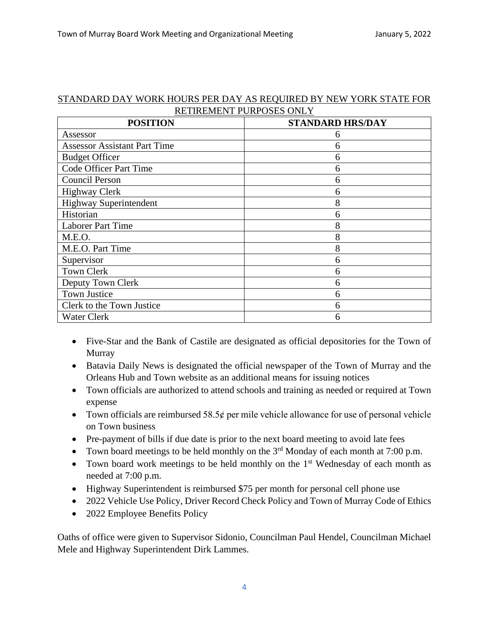| STANDARD DAY WORK HOURS PER DAY AS REQUIRED BY NEW YORK STATE FOR |                          |  |  |
|-------------------------------------------------------------------|--------------------------|--|--|
|                                                                   | RETIREMENT PURPOSES ONLY |  |  |

| <b>POSITION</b>                     | <b>STANDARD HRS/DAY</b> |
|-------------------------------------|-------------------------|
| Assessor                            | 6                       |
| <b>Assessor Assistant Part Time</b> | 6                       |
| <b>Budget Officer</b>               | 6                       |
| <b>Code Officer Part Time</b>       | 6                       |
| <b>Council Person</b>               | 6                       |
| <b>Highway Clerk</b>                | 6                       |
| <b>Highway Superintendent</b>       | 8                       |
| Historian                           | 6                       |
| <b>Laborer Part Time</b>            | 8                       |
| M.E.O.                              | 8                       |
| M.E.O. Part Time                    | 8                       |
| Supervisor                          | 6                       |
| <b>Town Clerk</b>                   | 6                       |
| Deputy Town Clerk                   | 6                       |
| <b>Town Justice</b>                 | 6                       |
| Clerk to the Town Justice           | 6                       |
| <b>Water Clerk</b>                  | 6                       |

- Five-Star and the Bank of Castile are designated as official depositories for the Town of Murray
- Batavia Daily News is designated the official newspaper of the Town of Murray and the Orleans Hub and Town website as an additional means for issuing notices
- Town officials are authorized to attend schools and training as needed or required at Town expense
- Town officials are reimbursed  $58.5¢$  per mile vehicle allowance for use of personal vehicle on Town business
- Pre-payment of bills if due date is prior to the next board meeting to avoid late fees
- Town board meetings to be held monthly on the  $3<sup>rd</sup>$  Monday of each month at 7:00 p.m.
- Town board work meetings to be held monthly on the  $1<sup>st</sup>$  Wednesday of each month as needed at 7:00 p.m.
- Highway Superintendent is reimbursed \$75 per month for personal cell phone use
- 2022 Vehicle Use Policy, Driver Record Check Policy and Town of Murray Code of Ethics
- 2022 Employee Benefits Policy

Oaths of office were given to Supervisor Sidonio, Councilman Paul Hendel, Councilman Michael Mele and Highway Superintendent Dirk Lammes.